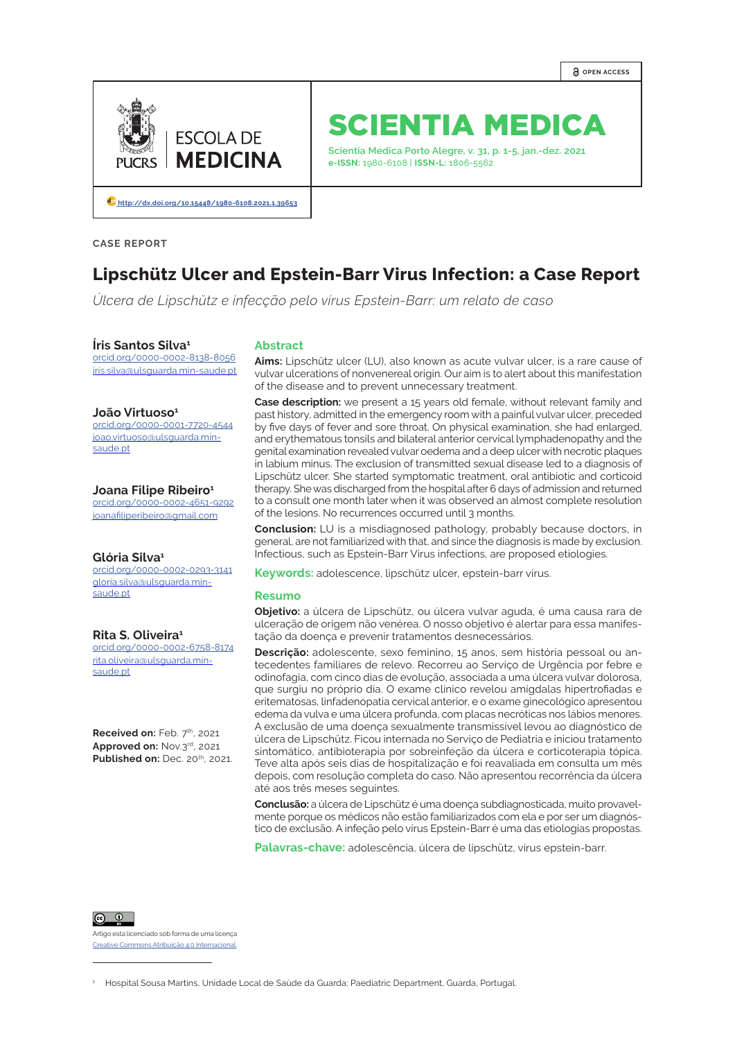

# SCIENTIA MEDICA

**Scientia Medica Porto Alegre, v. 31, p. 1-5, jan.-dez. 2021 e-ISSN:** 1980-6108 | **ISSN-L:** 1806-5562

**[http://dx.doi.org/10.15448/1980-6108.2021.1.]( http://dx.doi.org/10.15448/1980-6108.2021.1.39653 )39653**

**CASE REPORT**

# **Lipschütz Ulcer and Epstein-Barr Virus Infection: a Case Report**

*Úlcera de Lipschütz e infecção pelo vírus Epstein-Barr: um relato de caso*

#### **Íris Santos Silva1**

[orcid.org/](http://orcid.org/0000-0002-4167-1519)0000-0002-8138-8056 iris.silva@ulsguarda.min-saude.pt

#### **João Virtuoso1**

[orcid.org/](https://orcid.org/0000-0002-5473-9949)0000-0001-7720-4544 joao.virtuoso@ulsguarda.minsaude nt

#### **Joana Filipe Ribeiro<sup>1</sup>**

[orcid.org/](https://orcid.org/0000-0002-4149-7012)0000-0002-4651-9292 joanafiliperibeiro@gmail.com

#### **Glória Silva1**

[orcid.org/](http://orcid.org/0000-0002-8995-8420)0000-0002-0293-3141 gloria.silva@ulsguarda.minsaude.pt

**Rita S. Oliveira1** [orcid.org/](http://orcid.org/0000-0002-0737-1555)0000-0002-6758-8174 rita.oliveira@ulsguarda.minsaude.pt

**Received on: Feb. 7th, 2021 Approved on:** Nov.3rd, 2021 **Published on: Dec. 20th, 2021.** 

#### **Abstract**

**Aims:** Lipschütz ulcer (LU), also known as acute vulvar ulcer, is a rare cause of vulvar ulcerations of nonvenereal origin. Our aim is to alert about this manifestation of the disease and to prevent unnecessary treatment.

**Case description:** we present a 15 years old female, without relevant family and past history, admitted in the emergency room with a painful vulvar ulcer, preceded by five days of fever and sore throat. On physical examination, she had enlarged, and erythematous tonsils and bilateral anterior cervical lymphadenopathy and the genital examination revealed vulvar oedema and a deep ulcer with necrotic plaques in labium minus. The exclusion of transmitted sexual disease led to a diagnosis of Lipschütz ulcer. She started symptomatic treatment, oral antibiotic and corticoid therapy. She was discharged from the hospital after 6 days of admission and returned to a consult one month later when it was observed an almost complete resolution of the lesions. No recurrences occurred until 3 months.

**Conclusion:** LU is a misdiagnosed pathology, probably because doctors, in general, are not familiarized with that, and since the diagnosis is made by exclusion. Infectious, such as Epstein-Barr Virus infections, are proposed etiologies.

**Keywords:** adolescence, lipschütz ulcer, epstein-barr virus.

#### **Resumo**

**Objetivo:** a úlcera de Lipschütz, ou úlcera vulvar aguda, é uma causa rara de ulceração de origem não venérea. O nosso objetivo é alertar para essa manifestação da doença e prevenir tratamentos desnecessários.

**Descrição:** adolescente, sexo feminino, 15 anos, sem história pessoal ou antecedentes familiares de relevo. Recorreu ao Serviço de Urgência por febre e odinofagia, com cinco dias de evolução, associada a uma úlcera vulvar dolorosa, que surgiu no próprio dia. O exame clínico revelou amígdalas hipertrofiadas e eritematosas, linfadenopatia cervical anterior, e o exame ginecológico apresentou edema da vulva e uma úlcera profunda, com placas necróticas nos lábios menores. A exclusão de uma doença sexualmente transmissível levou ao diagnóstico de úlcera de Lipschütz. Ficou internada no Serviço de Pediatria e iniciou tratamento sintomático, antibioterapia por sobreinfeção da úlcera e corticoterapia tópica. Teve alta após seis dias de hospitalização e foi reavaliada em consulta um mês depois, com resolução completa do caso. Não apresentou recorrência da úlcera até aos três meses seguintes.

**Conclusão:** a úlcera de Lipschütz é uma doença subdiagnosticada, muito provavelmente porque os médicos não estão familiarizados com ela e por ser um diagnóstico de exclusão. A infeção pelo vírus Epstein-Barr é uma das etiologias propostas.

**Palavras-chave:** adolescência, úlcera de lipschütz, vírus epstein-barr.

 $\boxed{6}$  0

Artigo está licenciado sob forma de uma licença [Creative Commons Atribuição 4.0 Internacional](https://creativecommons.org/licenses/by/4.0/deed.pt_BR).

1 Hospital Sousa Martins, Unidade Local de Saúde da Guarda; Paediatric Department, Guarda, Portugal.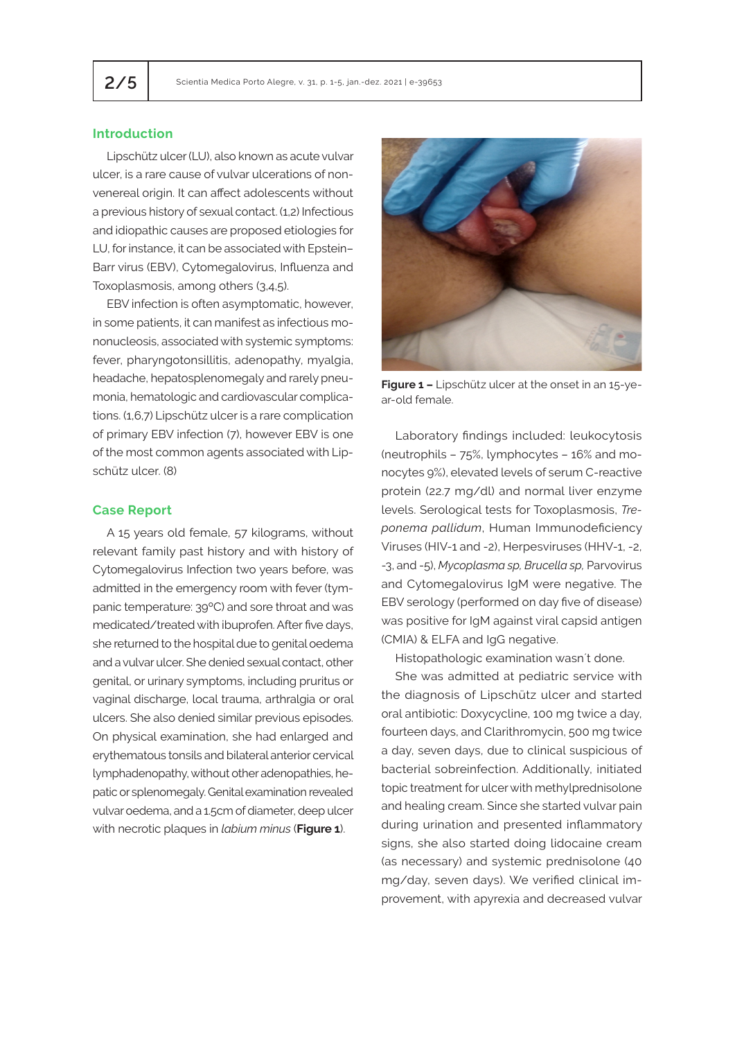# **Introduction**

Lipschütz ulcer (LU), also known as acute vulvar ulcer, is a rare cause of vulvar ulcerations of nonvenereal origin. It can affect adolescents without a previous history of sexual contact. (1,2) Infectious and idiopathic causes are proposed etiologies for LU, for instance, it can be associated with Epstein– Barr virus (EBV), Cytomegalovirus, Influenza and Toxoplasmosis, among others (3,4,5).

EBV infection is often asymptomatic, however, in some patients, it can manifest as infectious mononucleosis, associated with systemic symptoms: fever, pharyngotonsillitis, adenopathy, myalgia, headache, hepatosplenomegaly and rarely pneumonia, hematologic and cardiovascular complications. (1,6,7) Lipschütz ulcer is a rare complication of primary EBV infection (7), however EBV is one of the most common agents associated with Lipschütz ulcer. (8)

#### **Case Report**

A 15 years old female, 57 kilograms, without relevant family past history and with history of Cytomegalovirus Infection two years before, was admitted in the emergency room with fever (tympanic temperature: 39ºC) and sore throat and was medicated/treated with ibuprofen. After five days, she returned to the hospital due to genital oedema and a vulvar ulcer. She denied sexual contact, other genital, or urinary symptoms, including pruritus or vaginal discharge, local trauma, arthralgia or oral ulcers. She also denied similar previous episodes. On physical examination, she had enlarged and erythematous tonsils and bilateral anterior cervical lymphadenopathy, without other adenopathies, hepatic or splenomegaly. Genital examination revealed vulvar oedema, and a 1.5cm of diameter, deep ulcer with necrotic plaques in *labium minus* (**Figure 1**).



**Figure 1 –** Lipschütz ulcer at the onset in an 15-year-old female.

Laboratory findings included: leukocytosis (neutrophils – 75%, lymphocytes – 16% and monocytes 9%), elevated levels of serum C-reactive protein (22.7 mg/dl) and normal liver enzyme levels. Serological tests for Toxoplasmosis, *Treponema pallidum*, Human Immunodeficiency Viruses (HIV-1 and -2), Herpesviruses (HHV-1, -2, -3, and -5), *Mycoplasma sp, Brucella sp,* Parvovirus and Cytomegalovirus IgM were negative. The EBV serology (performed on day five of disease) was positive for IgM against viral capsid antigen (CMIA) & ELFA and IgG negative.

Histopathologic examination wasn´t done.

She was admitted at pediatric service with the diagnosis of Lipschütz ulcer and started oral antibiotic: Doxycycline, 100 mg twice a day, fourteen days, and Clarithromycin, 500 mg twice a day, seven days, due to clinical suspicious of bacterial sobreinfection. Additionally, initiated topic treatment for ulcer with methylprednisolone and healing cream. Since she started vulvar pain during urination and presented inflammatory signs, she also started doing lidocaine cream (as necessary) and systemic prednisolone (40 mg/day, seven days). We verified clinical improvement, with apyrexia and decreased vulvar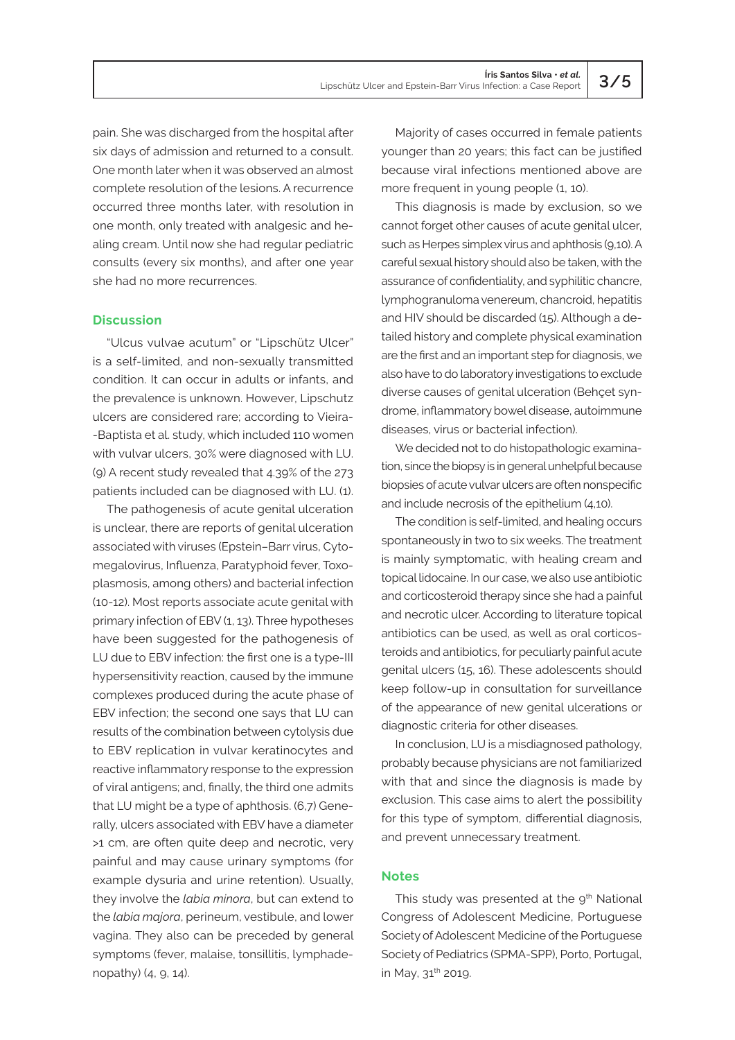pain. She was discharged from the hospital after six days of admission and returned to a consult. One month later when it was observed an almost complete resolution of the lesions. A recurrence occurred three months later, with resolution in one month, only treated with analgesic and healing cream. Until now she had regular pediatric consults (every six months), and after one year she had no more recurrences.

# **Discussion**

"Ulcus vulvae acutum" or "Lipschütz Ulcer" is a self-limited, and non-sexually transmitted condition. It can occur in adults or infants, and the prevalence is unknown. However, Lipschutz ulcers are considered rare; according to Vieira- -Baptista et al. study, which included 110 women with vulvar ulcers, 30% were diagnosed with LU. (9) A recent study revealed that 4.39% of the 273 patients included can be diagnosed with LU. (1).

The pathogenesis of acute genital ulceration is unclear, there are reports of genital ulceration associated with viruses (Epstein–Barr virus, Cytomegalovirus, Influenza, Paratyphoid fever, Toxoplasmosis, among others) and bacterial infection (10-12). Most reports associate acute genital with primary infection of EBV (1, 13). Three hypotheses have been suggested for the pathogenesis of LU due to EBV infection: the first one is a type-III hypersensitivity reaction, caused by the immune complexes produced during the acute phase of EBV infection; the second one says that LU can results of the combination between cytolysis due to EBV replication in vulvar keratinocytes and reactive inflammatory response to the expression of viral antigens; and, finally, the third one admits that LU might be a type of aphthosis. (6,7) Generally, ulcers associated with EBV have a diameter >1 cm, are often quite deep and necrotic, very painful and may cause urinary symptoms (for example dysuria and urine retention). Usually, they involve the *labia minora*, but can extend to the *labia majora*, perineum, vestibule, and lower vagina. They also can be preceded by general symptoms (fever, malaise, tonsillitis, lymphadenopathy) (4, 9, 14).

Majority of cases occurred in female patients younger than 20 years; this fact can be justified because viral infections mentioned above are more frequent in young people (1, 10).

This diagnosis is made by exclusion, so we cannot forget other causes of acute genital ulcer, such as Herpes simplex virus and aphthosis (9,10). A careful sexual history should also be taken, with the assurance of confidentiality, and syphilitic chancre, lymphogranuloma venereum, chancroid, hepatitis and HIV should be discarded (15). Although a detailed history and complete physical examination are the first and an important step for diagnosis, we also have to do laboratory investigations to exclude diverse causes of genital ulceration (Behçet syndrome, inflammatory bowel disease, autoimmune diseases, virus or bacterial infection).

We decided not to do histopathologic examination, since the biopsy is in general unhelpful because biopsies of acute vulvar ulcers are often nonspecific and include necrosis of the epithelium (4,10).

The condition is self-limited, and healing occurs spontaneously in two to six weeks. The treatment is mainly symptomatic, with healing cream and topical lidocaine. In our case, we also use antibiotic and corticosteroid therapy since she had a painful and necrotic ulcer. According to literature topical antibiotics can be used, as well as oral corticosteroids and antibiotics, for peculiarly painful acute genital ulcers (15, 16). These adolescents should keep follow-up in consultation for surveillance of the appearance of new genital ulcerations or diagnostic criteria for other diseases.

In conclusion, LU is a misdiagnosed pathology, probably because physicians are not familiarized with that and since the diagnosis is made by exclusion. This case aims to alert the possibility for this type of symptom, differential diagnosis, and prevent unnecessary treatment.

#### **Notes**

This study was presented at the  $9<sup>th</sup>$  National Congress of Adolescent Medicine, Portuguese Society of Adolescent Medicine of the Portuguese Society of Pediatrics (SPMA-SPP), Porto, Portugal, in May, 31<sup>th</sup> 2019.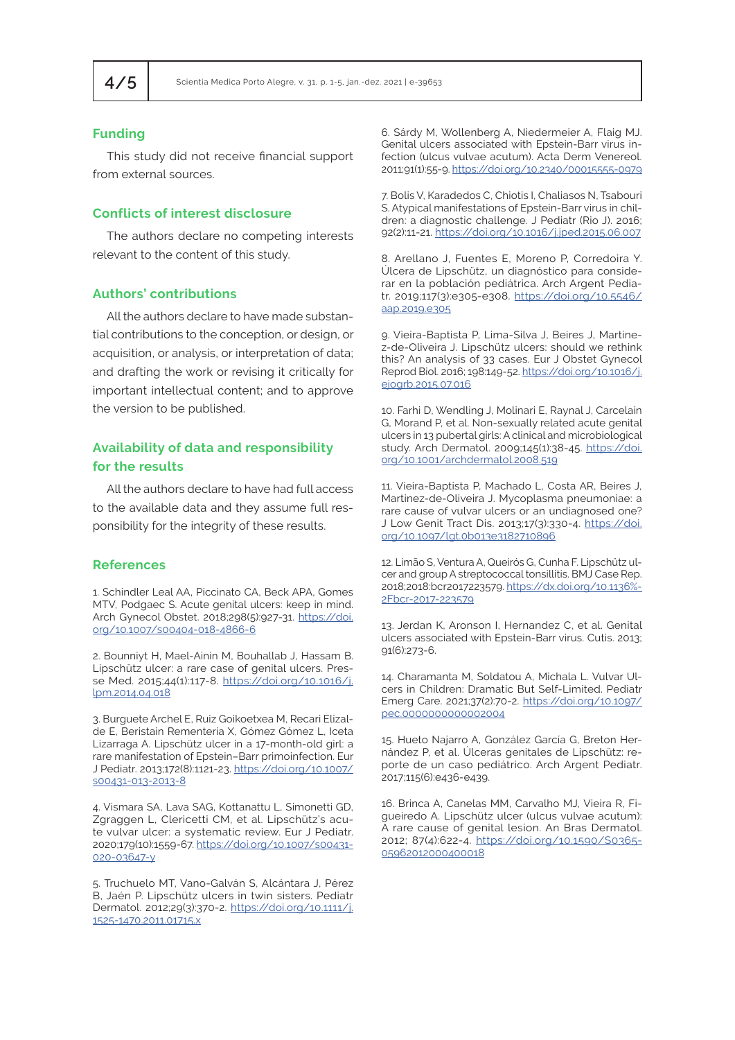# **Funding**

This study did not receive financial support from external sources.

### **Conflicts of interest disclosure**

The authors declare no competing interests relevant to the content of this study.

### **Authors' contributions**

All the authors declare to have made substantial contributions to the conception, or design, or acquisition, or analysis, or interpretation of data; and drafting the work or revising it critically for important intellectual content; and to approve the version to be published.

# **Availability of data and responsibility for the results**

All the authors declare to have had full access to the available data and they assume full responsibility for the integrity of these results.

#### **References**

1. Schindler Leal AA, Piccinato CA, Beck APA, Gomes MTV, Podgaec S. Acute genital ulcers: keep in mind. Arch Gynecol Obstet. 2018;298(5):927-31. [https://doi.](https://doi.org/10.1007/s00404-018-4866-6) [org/10.1007/s00404-018-4866-6](https://doi.org/10.1007/s00404-018-4866-6)

2. Bounniyt H, Mael-Ainin M, Bouhallab J, Hassam B. Lipschütz ulcer: a rare case of genital ulcers. Presse Med. 2015;44(1):117-8. [https://doi.org/10.1016/j.](https://doi.org/10.1016/j.lpm.2014.04.018) [lpm.2014.04.018](https://doi.org/10.1016/j.lpm.2014.04.018)

3. Burguete Archel E, Ruiz Goikoetxea M, Recari Elizalde E, Beristain Rementería X, Gómez Gómez L, Iceta Lizarraga A. Lipschütz ulcer in a 17-month-old girl: a rare manifestation of Epstein–Barr primoinfection. Eur J Pediatr. 2013;172(8):1121-23. https://doi.org/10.1007/ s00431-013-2013-8

4. Vismara SA, Lava SAG, Kottanattu L, Simonetti GD, Zgraggen L, Clericetti CM, et al. Lipschütz's acute vulvar ulcer: a systematic review. Eur J Pediatr. 2020;179(10):1559-67. [https://doi.org/10.1007/s00431-](https://doi.org/10.1007/s00431-020-03647-y) [020-03647-y](https://doi.org/10.1007/s00431-020-03647-y)

5. Truchuelo MT, Vano-Galván S, Alcántara J, Pérez B, Jaén P. Lipschütz ulcers in twin sisters. Pediatr Dermatol. 2012;29(3):370-2. https://doi.org/10.1111/j. 1525-1470.2011.01715.x

6. Sárdy M, Wollenberg A, Niedermeier A, Flaig MJ. Genital ulcers associated with Epstein-Barr virus infection (ulcus vulvae acutum). Acta Derm Venereol. 2011;91(1):55-9. https://doi.org/10.2340/00015555-0979

7. Bolis V, Karadedos C, Chiotis I, Chaliasos N, Tsabouri S. Atypical manifestations of Epstein-Barr virus in children: a diagnostic challenge. J Pediatr (Rio J). 2016; 92(2):11-21. <https://doi.org/10.1016/j.jped.2015.06.007>

8. Arellano J, Fuentes E, Moreno P, Corredoira Y. Úlcera de Lipschütz, un diagnóstico para considerar en la población pediátrica. Arch Argent Pediatr. 2019;117(3):e305-e308. [https://doi.org/10.5546/](https://doi.org/10.5546/aap.2019.e305) [aap.2019.e305](https://doi.org/10.5546/aap.2019.e305)

9. Vieira-Baptista P, Lima-Silva J, Beires J, Martinez-de-Oliveira J. Lipschütz ulcers: should we rethink this? An analysis of 33 cases. Eur J Obstet Gynecol Reprod Biol. 2016; 198:149-52. [https://doi.org/10.1016/j.](https://doi.org/10.1016/j.ejogrb.2015.07.016) [ejogrb.2015.07.016](https://doi.org/10.1016/j.ejogrb.2015.07.016)

10. Farhi D, Wendling J, Molinari E, Raynal J, Carcelain G, Morand P, et al. Non-sexually related acute genital ulcers in 13 pubertal girls: A clinical and microbiological study. Arch Dermatol. 2009;145(1):38-45. [https://doi.](https://doi.org/10.1001/archdermatol.2008.519) [org/10.1001/archdermatol.2008.519](https://doi.org/10.1001/archdermatol.2008.519)

11. Vieira-Baptista P, Machado L, Costa AR, Beires J, Martinez-de-Oliveira J. Mycoplasma pneumoniae: a rare cause of vulvar ulcers or an undiagnosed one? J Low Genit Tract Dis. 2013;17(3):330-4. [https://doi.](https://doi.org/10.1097/lgt.0b013e3182710896) [org/10.1097/lgt.0b013e3182710896](https://doi.org/10.1097/lgt.0b013e3182710896)

12. [Limão S, Ventura A, Queirós G, Cunha F. Lipschütz ul](https://www.uptodate.com/contents/acute-genital-ulceration-lipschutz-ulcer/abstract/23)[cer and group A streptococcal tonsillitis. BMJ Case Rep.](https://www.uptodate.com/contents/acute-genital-ulceration-lipschutz-ulcer/abstract/23) [2018;2018:bcr2017223579.](https://www.uptodate.com/contents/acute-genital-ulceration-lipschutz-ulcer/abstract/23) [https://dx.doi.org/10.1136%](https://dx.doi.org/10.1136%2Fbcr-2017-223579)- [2Fbcr-2017-223579](https://dx.doi.org/10.1136%2Fbcr-2017-223579)

13. [Jerdan K, Aronson I, Hernandez C, et al. Genital](https://www.uptodate.com/contents/acute-genital-ulceration-lipschutz-ulcer/abstract/5) [ulcers associated with Epstein-Barr virus. Cutis. 2013;](https://www.uptodate.com/contents/acute-genital-ulceration-lipschutz-ulcer/abstract/5) [91\(6\):273-6.](https://www.uptodate.com/contents/acute-genital-ulceration-lipschutz-ulcer/abstract/5)

14. Charamanta M, Soldatou A, Michala L. Vulvar Ulcers in Children: Dramatic But Self-Limited. Pediatr Emerg Care. 2021;37(2):70-2. [https://doi.org/10.1097/](https://doi.org/10.1097/pec.0000000000002004) [pec.0000000000002004](https://doi.org/10.1097/pec.0000000000002004)

15. Hueto Najarro A, González García G, Breton Hernández P, et al. Úlceras genitales de Lipschütz: reporte de un caso pediátrico. Arch Argent Pediatr. 2017;115(6):e436-e439.

16. Brinca A, Canelas MM, Carvalho MJ, Vieira R, Figueiredo A. Lipschütz ulcer (ulcus vulvae acutum): A rare cause of genital lesion. An Bras Dermatol. 2012; 87(4):622-4. https://doi.org/10.1590/S0365- 05962012000400018